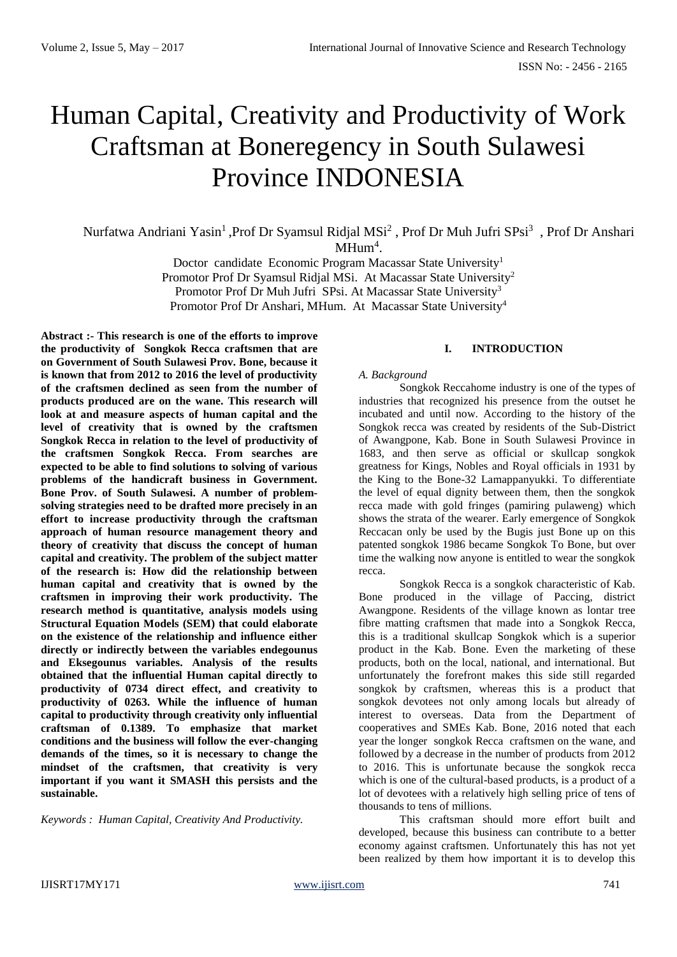# Human Capital, Creativity and Productivity of Work Craftsman at Boneregency in South Sulawesi Province INDONESIA

Nurfatwa Andriani Yasin<sup>1</sup>, Prof Dr Syamsul Ridjal MSi<sup>2</sup>, Prof Dr Muh Jufri SPsi<sup>3</sup>, Prof Dr Anshari  $MHum<sup>4</sup>$ .

> Doctor candidate Economic Program Macassar State University<sup>1</sup> Promotor Prof Dr Syamsul Ridjal MSi. At Macassar State University<sup>2</sup> Promotor Prof Dr Muh Jufri SPsi. At Macassar State University<sup>3</sup> Promotor Prof Dr Anshari, MHum. At Macassar State University<sup>4</sup>

**Abstract :- This research is one of the efforts to improve the productivity of Songkok Recca craftsmen that are on Government of South Sulawesi Prov. Bone, because it is known that from 2012 to 2016 the level of productivity of the craftsmen declined as seen from the number of products produced are on the wane. This research will look at and measure aspects of human capital and the level of creativity that is owned by the craftsmen Songkok Recca in relation to the level of productivity of the craftsmen Songkok Recca. From searches are expected to be able to find solutions to solving of various problems of the handicraft business in Government. Bone Prov. of South Sulawesi. A number of problemsolving strategies need to be drafted more precisely in an effort to increase productivity through the craftsman approach of human resource management theory and theory of creativity that discuss the concept of human capital and creativity. The problem of the subject matter of the research is: How did the relationship between human capital and creativity that is owned by the craftsmen in improving their work productivity. The research method is quantitative, analysis models using Structural Equation Models (SEM) that could elaborate on the existence of the relationship and influence either directly or indirectly between the variables endegounus and Eksegounus variables. Analysis of the results obtained that the influential Human capital directly to productivity of 0734 direct effect, and creativity to productivity of 0263. While the influence of human capital to productivity through creativity only influential craftsman of 0.1389. To emphasize that market conditions and the business will follow the ever-changing demands of the times, so it is necessary to change the mindset of the craftsmen, that creativity is very important if you want it SMASH this persists and the sustainable.**

*Keywords : Human Capital, Creativity And Productivity.*

# **I. INTRODUCTION**

#### *A. Background*

Songkok Reccahome industry is one of the types of industries that recognized his presence from the outset he incubated and until now. According to the history of the Songkok recca was created by residents of the Sub-District of Awangpone, Kab. Bone in South Sulawesi Province in 1683, and then serve as official or skullcap songkok greatness for Kings, Nobles and Royal officials in 1931 by the King to the Bone-32 Lamappanyukki. To differentiate the level of equal dignity between them, then the songkok recca made with gold fringes (pamiring pulaweng) which shows the strata of the wearer. Early emergence of Songkok Reccacan only be used by the Bugis just Bone up on this patented songkok 1986 became Songkok To Bone, but over time the walking now anyone is entitled to wear the songkok recca.

Songkok Recca is a songkok characteristic of Kab. Bone produced in the village of Paccing, district Awangpone. Residents of the village known as lontar tree fibre matting craftsmen that made into a Songkok Recca, this is a traditional skullcap Songkok which is a superior product in the Kab. Bone. Even the marketing of these products, both on the local, national, and international. But unfortunately the forefront makes this side still regarded songkok by craftsmen, whereas this is a product that songkok devotees not only among locals but already of interest to overseas. Data from the Department of cooperatives and SMEs Kab. Bone, 2016 noted that each year the longer songkok Recca craftsmen on the wane, and followed by a decrease in the number of products from 2012 to 2016. This is unfortunate because the songkok recca which is one of the cultural-based products, is a product of a lot of devotees with a relatively high selling price of tens of thousands to tens of millions.

This craftsman should more effort built and developed, because this business can contribute to a better economy against craftsmen. Unfortunately this has not yet been realized by them how important it is to develop this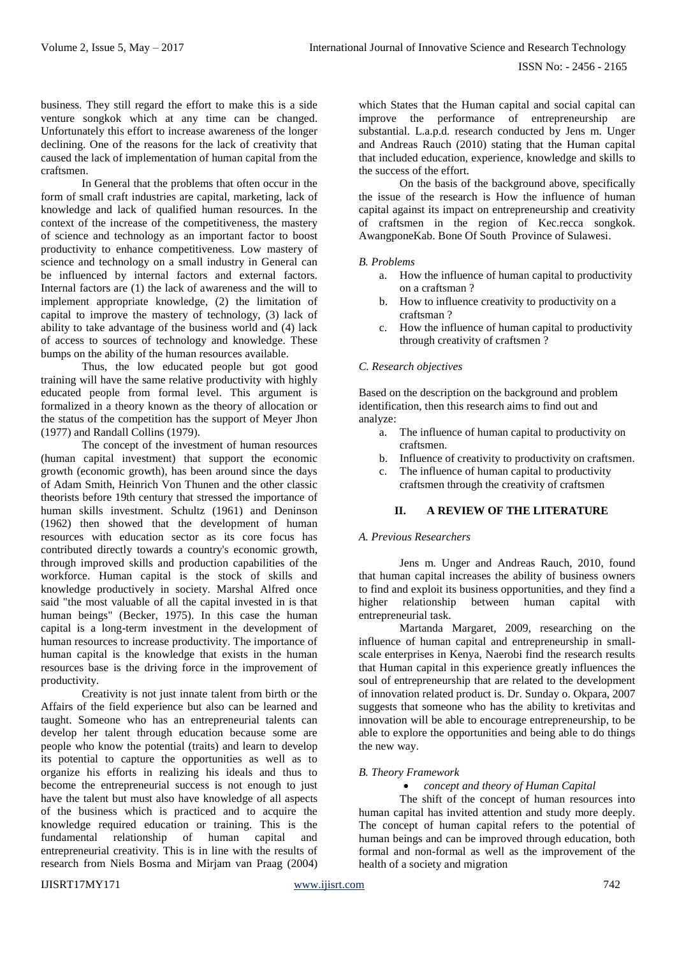business. They still regard the effort to make this is a side venture songkok which at any time can be changed. Unfortunately this effort to increase awareness of the longer declining. One of the reasons for the lack of creativity that caused the lack of implementation of human capital from the craftsmen.

In General that the problems that often occur in the form of small craft industries are capital, marketing, lack of knowledge and lack of qualified human resources. In the context of the increase of the competitiveness, the mastery of science and technology as an important factor to boost productivity to enhance competitiveness. Low mastery of science and technology on a small industry in General can be influenced by internal factors and external factors. Internal factors are (1) the lack of awareness and the will to implement appropriate knowledge, (2) the limitation of capital to improve the mastery of technology, (3) lack of ability to take advantage of the business world and (4) lack of access to sources of technology and knowledge. These bumps on the ability of the human resources available.

Thus, the low educated people but got good training will have the same relative productivity with highly educated people from formal level. This argument is formalized in a theory known as the theory of allocation or the status of the competition has the support of Meyer Jhon (1977) and Randall Collins (1979).

The concept of the investment of human resources (human capital investment) that support the economic growth (economic growth), has been around since the days of Adam Smith, Heinrich Von Thunen and the other classic theorists before 19th century that stressed the importance of human skills investment. Schultz (1961) and Deninson (1962) then showed that the development of human resources with education sector as its core focus has contributed directly towards a country's economic growth, through improved skills and production capabilities of the workforce. Human capital is the stock of skills and knowledge productively in society. Marshal Alfred once said "the most valuable of all the capital invested in is that human beings" (Becker, 1975). In this case the human capital is a long-term investment in the development of human resources to increase productivity. The importance of human capital is the knowledge that exists in the human resources base is the driving force in the improvement of productivity.

Creativity is not just innate talent from birth or the Affairs of the field experience but also can be learned and taught. Someone who has an entrepreneurial talents can develop her talent through education because some are people who know the potential (traits) and learn to develop its potential to capture the opportunities as well as to organize his efforts in realizing his ideals and thus to become the entrepreneurial success is not enough to just have the talent but must also have knowledge of all aspects of the business which is practiced and to acquire the knowledge required education or training. This is the fundamental relationship of human capital and entrepreneurial creativity. This is in line with the results of research from Niels Bosma and Mirjam van Praag (2004)

which States that the Human capital and social capital can improve the performance of entrepreneurship are substantial. L.a.p.d. research conducted by Jens m. Unger and Andreas Rauch (2010) stating that the Human capital that included education, experience, knowledge and skills to the success of the effort.

On the basis of the background above, specifically the issue of the research is How the influence of human capital against its impact on entrepreneurship and creativity of craftsmen in the region of Kec.recca songkok. AwangponeKab. Bone Of South Province of Sulawesi.

# *B. Problems*

- a. How the influence of human capital to productivity on a craftsman ?
- b. How to influence creativity to productivity on a craftsman ?
- c. How the influence of human capital to productivity through creativity of craftsmen ?

# *C. Research objectives*

Based on the description on the background and problem identification, then this research aims to find out and analyze:

- a. The influence of human capital to productivity on craftsmen.
- b. Influence of creativity to productivity on craftsmen.
- c. The influence of human capital to productivity
	- craftsmen through the creativity of craftsmen

# **II. A REVIEW OF THE LITERATURE**

# *A. Previous Researchers*

Jens m. Unger and Andreas Rauch, 2010, found that human capital increases the ability of business owners to find and exploit its business opportunities, and they find a higher relationship between human capital with entrepreneurial task.

Martanda Margaret, 2009, researching on the influence of human capital and entrepreneurship in smallscale enterprises in Kenya, Naerobi find the research results that Human capital in this experience greatly influences the soul of entrepreneurship that are related to the development of innovation related product is. Dr. Sunday o. Okpara, 2007 suggests that someone who has the ability to kretivitas and innovation will be able to encourage entrepreneurship, to be able to explore the opportunities and being able to do things the new way.

# *B. Theory Framework*

# *concept and theory of Human Capital*

The shift of the concept of human resources into human capital has invited attention and study more deeply. The concept of human capital refers to the potential of human beings and can be improved through education, both formal and non-formal as well as the improvement of the health of a society and migration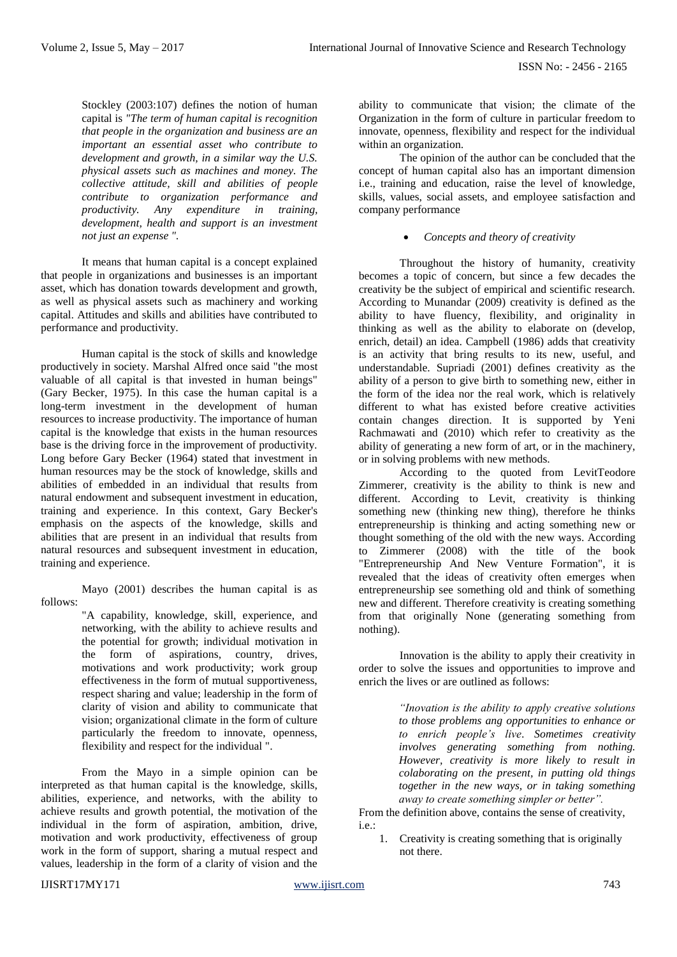Stockley (2003:107) defines the notion of human capital is *"The term of human capital is recognition that people in the organization and business are an important an essential asset who contribute to development and growth, in a similar way the U.S. physical assets such as machines and money. The collective attitude, skill and abilities of people contribute to organization performance and productivity. Any expenditure in training, development, health and support is an investment not just an expense ".*

It means that human capital is a concept explained that people in organizations and businesses is an important asset, which has donation towards development and growth, as well as physical assets such as machinery and working capital. Attitudes and skills and abilities have contributed to performance and productivity.

Human capital is the stock of skills and knowledge productively in society. Marshal Alfred once said "the most valuable of all capital is that invested in human beings" (Gary Becker, 1975). In this case the human capital is a long-term investment in the development of human resources to increase productivity. The importance of human capital is the knowledge that exists in the human resources base is the driving force in the improvement of productivity. Long before Gary Becker (1964) stated that investment in human resources may be the stock of knowledge, skills and abilities of embedded in an individual that results from natural endowment and subsequent investment in education, training and experience. In this context, Gary Becker's emphasis on the aspects of the knowledge, skills and abilities that are present in an individual that results from natural resources and subsequent investment in education, training and experience.

Mayo (2001) describes the human capital is as follows:

> "A capability, knowledge, skill, experience, and networking, with the ability to achieve results and the potential for growth; individual motivation in the form of aspirations, country, drives, motivations and work productivity; work group effectiveness in the form of mutual supportiveness, respect sharing and value; leadership in the form of clarity of vision and ability to communicate that vision; organizational climate in the form of culture particularly the freedom to innovate, openness, flexibility and respect for the individual ".

From the Mayo in a simple opinion can be interpreted as that human capital is the knowledge, skills, abilities, experience, and networks, with the ability to achieve results and growth potential, the motivation of the individual in the form of aspiration, ambition, drive, motivation and work productivity, effectiveness of group work in the form of support, sharing a mutual respect and values, leadership in the form of a clarity of vision and the

ability to communicate that vision; the climate of the Organization in the form of culture in particular freedom to innovate, openness, flexibility and respect for the individual within an organization.

The opinion of the author can be concluded that the concept of human capital also has an important dimension i.e., training and education, raise the level of knowledge, skills, values, social assets, and employee satisfaction and company performance

# *Concepts and theory of creativity*

Throughout the history of humanity, creativity becomes a topic of concern, but since a few decades the creativity be the subject of empirical and scientific research. According to Munandar (2009) creativity is defined as the ability to have fluency, flexibility, and originality in thinking as well as the ability to elaborate on (develop, enrich, detail) an idea. Campbell (1986) adds that creativity is an activity that bring results to its new, useful, and understandable. Supriadi (2001) defines creativity as the ability of a person to give birth to something new, either in the form of the idea nor the real work, which is relatively different to what has existed before creative activities contain changes direction. It is supported by Yeni Rachmawati and (2010) which refer to creativity as the ability of generating a new form of art, or in the machinery, or in solving problems with new methods.

According to the quoted from LevitTeodore Zimmerer, creativity is the ability to think is new and different. According to Levit, creativity is thinking something new (thinking new thing), therefore he thinks entrepreneurship is thinking and acting something new or thought something of the old with the new ways. According to Zimmerer (2008) with the title of the book "Entrepreneurship And New Venture Formation", it is revealed that the ideas of creativity often emerges when entrepreneurship see something old and think of something new and different. Therefore creativity is creating something from that originally None (generating something from nothing).

Innovation is the ability to apply their creativity in order to solve the issues and opportunities to improve and enrich the lives or are outlined as follows:

> *"Inovation is the ability to apply creative solutions to those problems ang opportunities to enhance or to enrich people's live*. *Sometimes creativity involves generating something from nothing. However, creativity is more likely to result in colaborating on the present, in putting old things together in the new ways, or in taking something away to create something simpler or better".*

From the definition above, contains the sense of creativity, i.e.:

1. Creativity is creating something that is originally not there.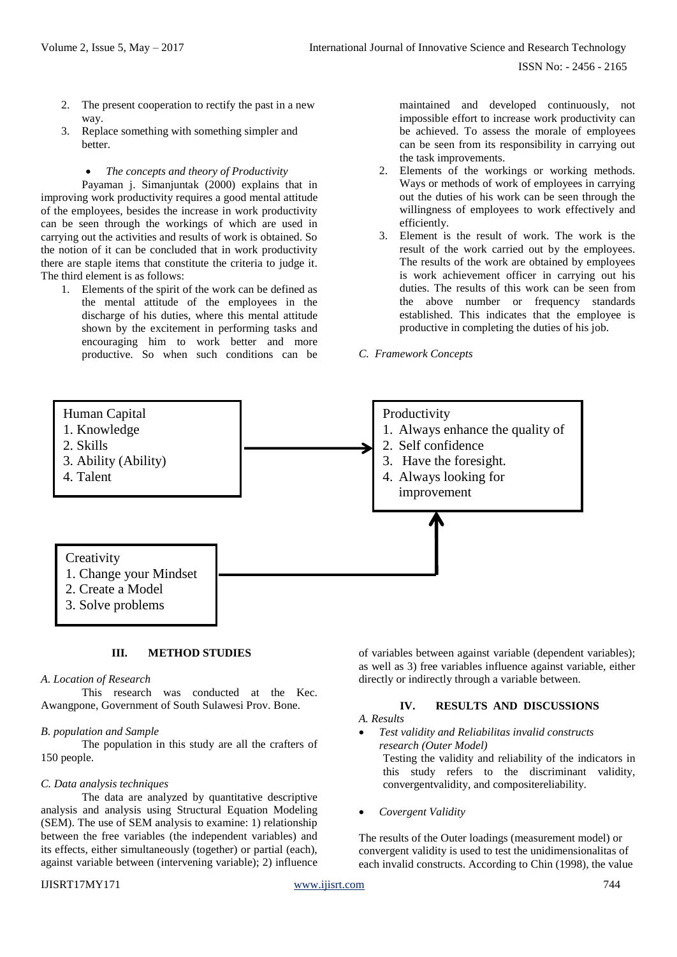- 2. The present cooperation to rectify the past in a new way.
- 3. Replace something with something simpler and better.

#### *The concepts and theory of Productivity*

Payaman j. Simanjuntak (2000) explains that in improving work productivity requires a good mental attitude of the employees, besides the increase in work productivity can be seen through the workings of which are used in carrying out the activities and results of work is obtained. So the notion of it can be concluded that in work productivity there are staple items that constitute the criteria to judge it. The third element is as follows:

1. Elements of the spirit of the work can be defined as the mental attitude of the employees in the discharge of his duties, where this mental attitude shown by the excitement in performing tasks and encouraging him to work better and more productive. So when such conditions can be

maintained and developed continuously, not impossible effort to increase work productivity can be achieved. To assess the morale of employees can be seen from its responsibility in carrying out the task improvements.

- 2. Elements of the workings or working methods. Ways or methods of work of employees in carrying out the duties of his work can be seen through the willingness of employees to work effectively and efficiently.
- 3. Element is the result of work. The work is the result of the work carried out by the employees. The results of the work are obtained by employees is work achievement officer in carrying out his duties. The results of this work can be seen from the above number or frequency standards established. This indicates that the employee is productive in completing the duties of his job.

#### *C. Framework Concepts*



#### **III. METHOD STUDIES**

#### *A. Location of Research*

This research was conducted at the Kec. Awangpone, Government of South Sulawesi Prov. Bone.

#### *B. population and Sample*

The population in this study are all the crafters of 150 people.

#### *C. Data analysis techniques*

The data are analyzed by quantitative descriptive analysis and analysis using Structural Equation Modeling (SEM). The use of SEM analysis to examine: 1) relationship between the free variables (the independent variables) and its effects, either simultaneously (together) or partial (each), against variable between (intervening variable); 2) influence

#### IJISRT17MY171 [www.ijisrt.com](http://www.ijisrt.com/) 744

of variables between against variable (dependent variables); as well as 3) free variables influence against variable, either directly or indirectly through a variable between.

# **IV. RESULTS AND DISCUSSIONS**

# *A. Results*

- *Test validity and Reliabilitas invalid constructs research (Outer Model)* Testing the validity and reliability of the indicators in this study refers to the discriminant validity, convergentvalidity, and compositereliability.
- *Covergent Validity*

The results of the Outer loadings (measurement model) or convergent validity is used to test the unidimensionalitas of each invalid constructs. According to Chin (1998), the value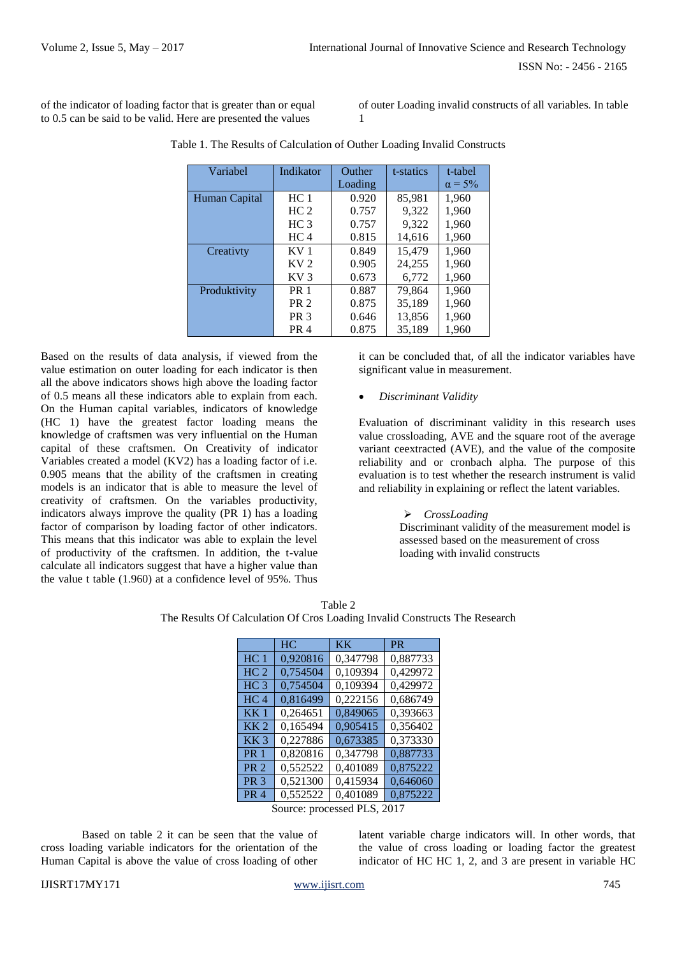of the indicator of loading factor that is greater than or equal to 0.5 can be said to be valid. Here are presented the values

of outer Loading invalid constructs of all variables. In table 1

| Variabel      | Indikator       | Outher  | t-statics | t-tabel        |
|---------------|-----------------|---------|-----------|----------------|
|               |                 | Loading |           | $\alpha = 5\%$ |
| Human Capital | HC <sub>1</sub> | 0.920   | 85,981    | 1,960          |
|               | HC <sub>2</sub> | 0.757   | 9,322     | 1,960          |
|               | HC <sub>3</sub> | 0.757   | 9,322     | 1,960          |
|               | HC <sub>4</sub> | 0.815   | 14,616    | 1,960          |
| Creativty     | KV 1            | 0.849   | 15,479    | 1,960          |
|               | KV <sub>2</sub> | 0.905   | 24,255    | 1,960          |
|               | KV 3            | 0.673   | 6,772     | 1,960          |
| Produktivity  | <b>PR</b> 1     | 0.887   | 79,864    | 1,960          |
|               | PR <sub>2</sub> | 0.875   | 35,189    | 1,960          |
|               | PR <sub>3</sub> | 0.646   | 13,856    | 1,960          |
|               | PR <sub>4</sub> | 0.875   | 35,189    | 1,960          |

Table 1. The Results of Calculation of Outher Loading Invalid Constructs

Based on the results of data analysis, if viewed from the value estimation on outer loading for each indicator is then all the above indicators shows high above the loading factor of 0.5 means all these indicators able to explain from each. On the Human capital variables, indicators of knowledge (HC 1) have the greatest factor loading means the knowledge of craftsmen was very influential on the Human capital of these craftsmen. On Creativity of indicator Variables created a model (KV2) has a loading factor of i.e. 0.905 means that the ability of the craftsmen in creating models is an indicator that is able to measure the level of creativity of craftsmen. On the variables productivity, indicators always improve the quality (PR 1) has a loading factor of comparison by loading factor of other indicators. This means that this indicator was able to explain the level of productivity of the craftsmen. In addition, the t-value calculate all indicators suggest that have a higher value than the value t table (1.960) at a confidence level of 95%. Thus

it can be concluded that, of all the indicator variables have significant value in measurement.

# *Discriminant Validity*

Evaluation of discriminant validity in this research uses value crossloading, AVE and the square root of the average variant ceextracted (AVE), and the value of the composite reliability and or cronbach alpha. The purpose of this evaluation is to test whether the research instrument is valid and reliability in explaining or reflect the latent variables.

#### *CrossLoading*

Discriminant validity of the measurement model is assessed based on the measurement of cross loading with invalid constructs

Table 2 The Results Of Calculation Of Cros Loading Invalid Constructs The Research

|                             | HC       | KK.      | <b>PR</b> |
|-----------------------------|----------|----------|-----------|
| HC <sub>1</sub>             | 0,920816 | 0,347798 | 0,887733  |
| HC <sub>2</sub>             | 0,754504 | 0,109394 | 0,429972  |
| HC <sub>3</sub>             | 0,754504 | 0,109394 | 0,429972  |
| HC <sub>4</sub>             | 0,816499 | 0,222156 | 0,686749  |
| KK <sub>1</sub>             | 0,264651 | 0,849065 | 0,393663  |
| KK <sub>2</sub>             | 0,165494 | 0,905415 | 0,356402  |
| KK <sub>3</sub>             | 0,227886 | 0,673385 | 0,373330  |
| <b>PR 1</b>                 | 0,820816 | 0,347798 | 0,887733  |
| <b>PR 2</b>                 | 0,552522 | 0,401089 | 0,875222  |
| <b>PR 3</b>                 | 0,521300 | 0,415934 | 0,646060  |
| <b>PR 4</b>                 | 0,552522 | 0,401089 | 0,875222  |
| Source: processed PLS, 2017 |          |          |           |

Based on table 2 it can be seen that the value of cross loading variable indicators for the orientation of the

Human Capital is above the value of cross loading of other

latent variable charge indicators will. In other words, that the value of cross loading or loading factor the greatest indicator of HC HC 1, 2, and 3 are present in variable HC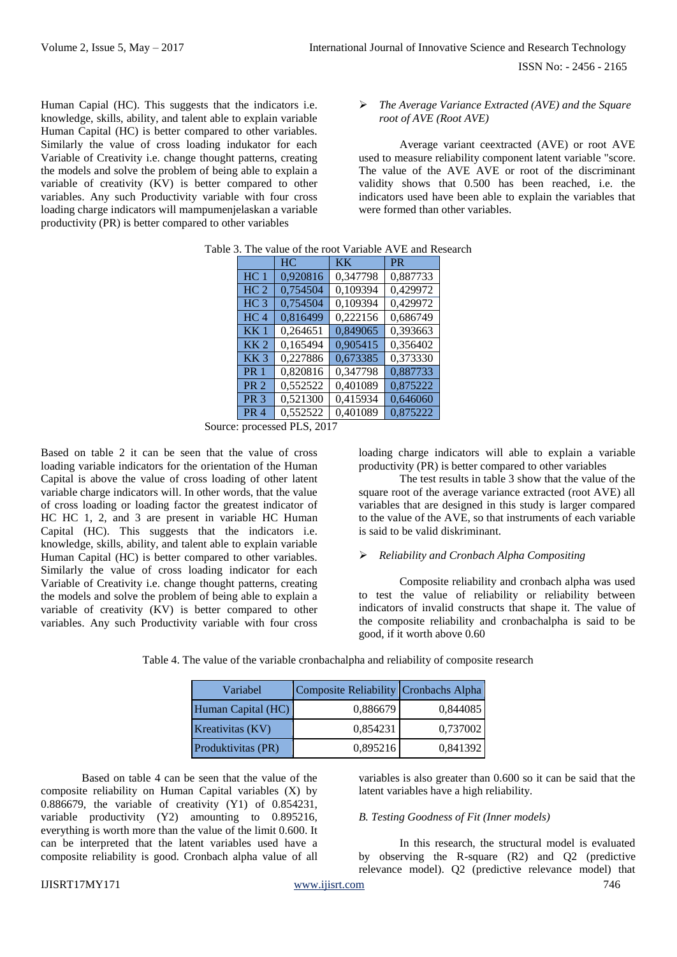ISSN No: - 2456 - 2165

Human Capial (HC). This suggests that the indicators i.e. knowledge, skills, ability, and talent able to explain variable Human Capital (HC) is better compared to other variables. Similarly the value of cross loading indukator for each Variable of Creativity i.e. change thought patterns, creating the models and solve the problem of being able to explain a variable of creativity (KV) is better compared to other variables. Any such Productivity variable with four cross loading charge indicators will mampumenjelaskan a variable productivity (PR) is better compared to other variables

 *The Average Variance Extracted (AVE) and the Square root of AVE (Root AVE)*

Average variant ceextracted (AVE) or root AVE used to measure reliability component latent variable "score. The value of the AVE AVE or root of the discriminant validity shows that 0.500 has been reached, i.e. the indicators used have been able to explain the variables that were formed than other variables.

|                 | HC                    | <b>KK</b> | <b>PR</b> |
|-----------------|-----------------------|-----------|-----------|
| HC <sub>1</sub> | 0,920816              | 0,347798  | 0,887733  |
| HC <sub>2</sub> | 0,754504              | 0,109394  | 0,429972  |
| HC <sub>3</sub> | 0,754504              | 0,109394  | 0,429972  |
| HC <sub>4</sub> | 0,816499              | 0,222156  | 0,686749  |
| KK <sub>1</sub> | 0,264651              | 0,849065  | 0,393663  |
| KK <sub>2</sub> | 0,165494              | 0,905415  | 0,356402  |
| KK <sub>3</sub> | 0,227886              | 0,673385  | 0,373330  |
| <b>PR</b> 1     | 0,820816              | 0,347798  | 0,887733  |
| <b>PR 2</b>     | 0,552522              | 0,401089  | 0,875222  |
| PR <sub>3</sub> | 0,521300              | 0,415934  | 0,646060  |
| PR <sub>4</sub> | $0,55\overline{2522}$ | 0,401089  | 0,875222  |

| Table 3. The value of the root Variable AVE and Research |  |
|----------------------------------------------------------|--|
|----------------------------------------------------------|--|

Source: processed PLS, 2017

Based on table 2 it can be seen that the value of cross loading variable indicators for the orientation of the Human Capital is above the value of cross loading of other latent variable charge indicators will. In other words, that the value of cross loading or loading factor the greatest indicator of HC HC 1, 2, and 3 are present in variable HC Human Capital (HC). This suggests that the indicators i.e. knowledge, skills, ability, and talent able to explain variable Human Capital (HC) is better compared to other variables. Similarly the value of cross loading indicator for each Variable of Creativity i.e. change thought patterns, creating the models and solve the problem of being able to explain a variable of creativity (KV) is better compared to other variables. Any such Productivity variable with four cross

loading charge indicators will able to explain a variable productivity (PR) is better compared to other variables

The test results in table 3 show that the value of the square root of the average variance extracted (root AVE) all variables that are designed in this study is larger compared to the value of the AVE, so that instruments of each variable is said to be valid diskriminant.

## *Reliability and Cronbach Alpha Compositing*

Composite reliability and cronbach alpha was used to test the value of reliability or reliability between indicators of invalid constructs that shape it. The value of the composite reliability and cronbachalpha is said to be good, if it worth above 0.60

Table 4. The value of the variable cronbachalpha and reliability of composite research

| Variabel           | Composite Reliability Cronbachs Alpha |          |
|--------------------|---------------------------------------|----------|
| Human Capital (HC) | 0,886679                              | 0,844085 |
| Kreativitas (KV)   | 0,854231                              | 0,737002 |
| Produktivitas (PR) | 0,895216                              | 0,841392 |

Based on table 4 can be seen that the value of the composite reliability on Human Capital variables (X) by 0.886679, the variable of creativity (Y1) of 0.854231, variable productivity (Y2) amounting to 0.895216, everything is worth more than the value of the limit 0.600. It can be interpreted that the latent variables used have a composite reliability is good. Cronbach alpha value of all

variables is also greater than 0.600 so it can be said that the latent variables have a high reliability.

#### *B. Testing Goodness of Fit (Inner models)*

In this research, the structural model is evaluated by observing the R-square (R2) and Q2 (predictive relevance model). Q2 (predictive relevance model) that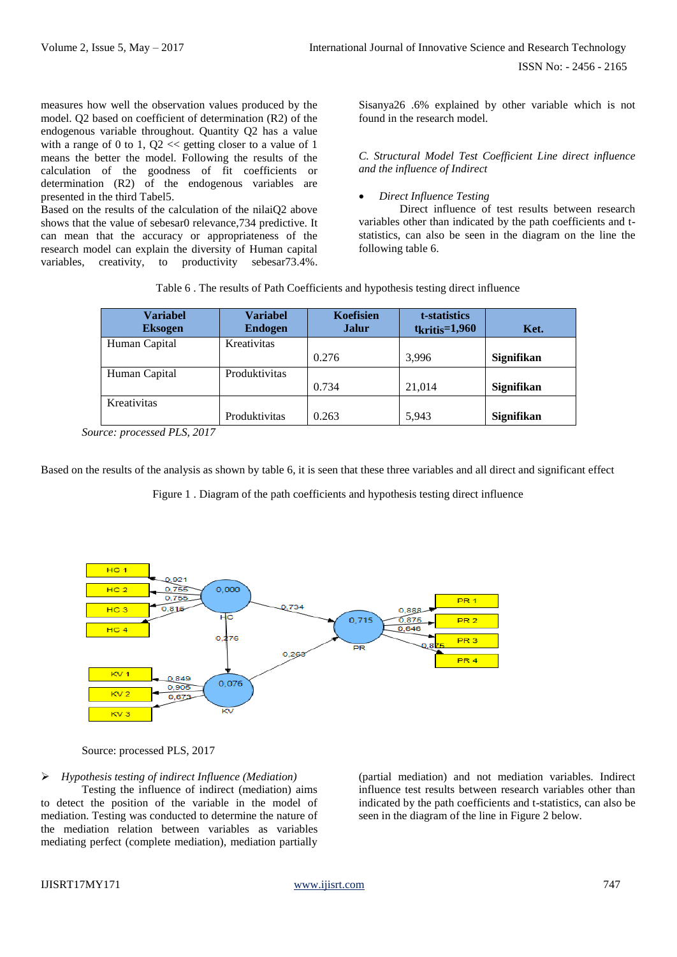measures how well the observation values produced by the model. Q2 based on coefficient of determination (R2) of the endogenous variable throughout. Quantity Q2 has a value with a range of 0 to 1,  $Q2 \ll$  getting closer to a value of 1 means the better the model. Following the results of the calculation of the goodness of fit coefficients or determination (R2) of the endogenous variables are presented in the third Tabel5.

Based on the results of the calculation of the nilaiQ2 above shows that the value of sebesar0 relevance,734 predictive. It can mean that the accuracy or appropriateness of the research model can explain the diversity of Human capital variables, creativity, to productivity sebesar73.4%.

Sisanya26 .6% explained by other variable which is not found in the research model.

*C. Structural Model Test Coefficient Line direct influence and the influence of Indirect*

*Direct Influence Testing*

Direct influence of test results between research variables other than indicated by the path coefficients and tstatistics, can also be seen in the diagram on the line the following table 6.

| <b>Variabel</b><br><b>Eksogen</b> | <b>Variabel</b><br><b>Endogen</b> | Koefisien<br><b>Jalur</b> | t-statistics<br>$t_{kritis}=1,960$ | Ket.              |
|-----------------------------------|-----------------------------------|---------------------------|------------------------------------|-------------------|
| Human Capital                     | Kreativitas                       |                           |                                    |                   |
|                                   |                                   | 0.276                     | 3,996                              | <b>Signifikan</b> |
| Human Capital                     | Produktivitas                     |                           |                                    |                   |
|                                   |                                   | 0.734                     | 21,014                             | Signifikan        |
| Kreativitas                       |                                   |                           |                                    |                   |
|                                   | Produktivitas                     | 0.263                     | 5,943                              | Signifikan        |

Table 6 . The results of Path Coefficients and hypothesis testing direct influence

*Source: processed PLS, 2017* 

Based on the results of the analysis as shown by table 6, it is seen that these three variables and all direct and significant effect

Figure 1 . Diagram of the path coefficients and hypothesis testing direct influence



Source: processed PLS, 2017

*Hypothesis testing of indirect Influence (Mediation)*

Testing the influence of indirect (mediation) aims to detect the position of the variable in the model of mediation. Testing was conducted to determine the nature of the mediation relation between variables as variables mediating perfect (complete mediation), mediation partially

(partial mediation) and not mediation variables. Indirect influence test results between research variables other than indicated by the path coefficients and t-statistics, can also be seen in the diagram of the line in Figure 2 below.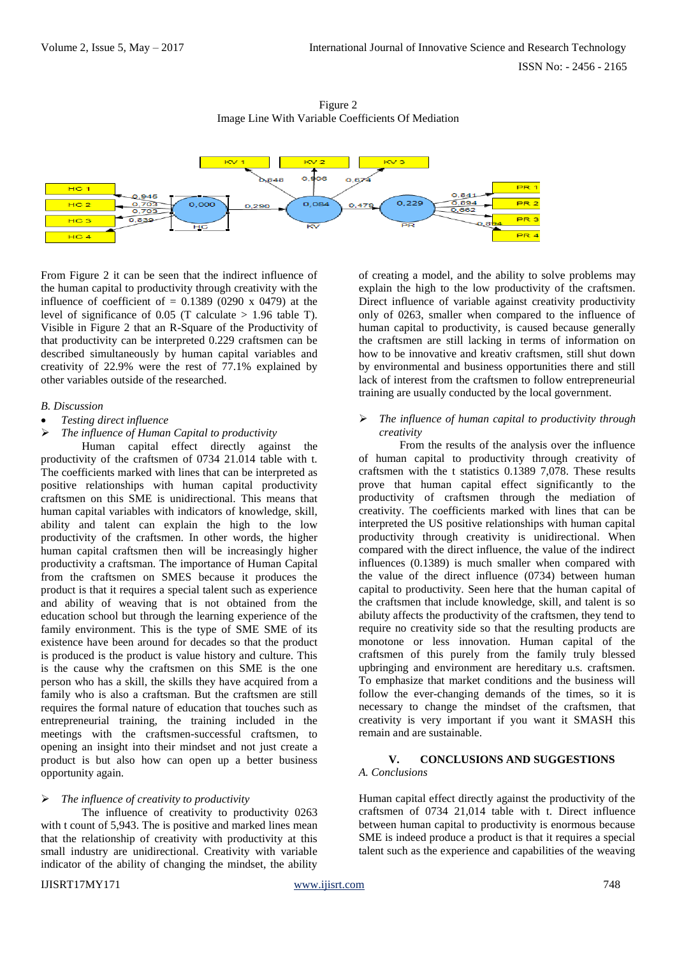

Figure 2 Image Line With Variable Coefficients Of Mediation

From Figure 2 it can be seen that the indirect influence of the human capital to productivity through creativity with the influence of coefficient of  $= 0.1389$  (0290 x 0479) at the level of significance of 0.05 (T calculate  $> 1.96$  table T). Visible in Figure 2 that an R-Square of the Productivity of that productivity can be interpreted 0.229 craftsmen can be described simultaneously by human capital variables and creativity of 22.9% were the rest of 77.1% explained by other variables outside of the researched.

#### *B. Discussion*

- *Testing direct influence*
- *The influence of Human Capital to productivity*

Human capital effect directly against the productivity of the craftsmen of 0734 21.014 table with t. The coefficients marked with lines that can be interpreted as positive relationships with human capital productivity craftsmen on this SME is unidirectional. This means that human capital variables with indicators of knowledge, skill, ability and talent can explain the high to the low productivity of the craftsmen. In other words, the higher human capital craftsmen then will be increasingly higher productivity a craftsman. The importance of Human Capital from the craftsmen on SMES because it produces the product is that it requires a special talent such as experience and ability of weaving that is not obtained from the education school but through the learning experience of the family environment. This is the type of SME SME of its existence have been around for decades so that the product is produced is the product is value history and culture. This is the cause why the craftsmen on this SME is the one person who has a skill, the skills they have acquired from a family who is also a craftsman. But the craftsmen are still requires the formal nature of education that touches such as entrepreneurial training, the training included in the meetings with the craftsmen-successful craftsmen, to opening an insight into their mindset and not just create a product is but also how can open up a better business opportunity again.

#### *The influence of creativity to productivity*

The influence of creativity to productivity 0263 with t count of 5,943. The is positive and marked lines mean that the relationship of creativity with productivity at this small industry are unidirectional. Creativity with variable indicator of the ability of changing the mindset, the ability

of creating a model, and the ability to solve problems may explain the high to the low productivity of the craftsmen. Direct influence of variable against creativity productivity only of 0263, smaller when compared to the influence of human capital to productivity, is caused because generally the craftsmen are still lacking in terms of information on how to be innovative and kreativ craftsmen, still shut down by environmental and business opportunities there and still lack of interest from the craftsmen to follow entrepreneurial training are usually conducted by the local government.

# *The influence of human capital to productivity through creativity*

From the results of the analysis over the influence of human capital to productivity through creativity of craftsmen with the t statistics 0.1389 7,078. These results prove that human capital effect significantly to the productivity of craftsmen through the mediation of creativity. The coefficients marked with lines that can be interpreted the US positive relationships with human capital productivity through creativity is unidirectional. When compared with the direct influence, the value of the indirect influences (0.1389) is much smaller when compared with the value of the direct influence (0734) between human capital to productivity. Seen here that the human capital of the craftsmen that include knowledge, skill, and talent is so abiluty affects the productivity of the craftsmen, they tend to require no creativity side so that the resulting products are monotone or less innovation. Human capital of the craftsmen of this purely from the family truly blessed upbringing and environment are hereditary u.s. craftsmen. To emphasize that market conditions and the business will follow the ever-changing demands of the times, so it is necessary to change the mindset of the craftsmen, that creativity is very important if you want it SMASH this remain and are sustainable.

#### **V. CONCLUSIONS AND SUGGESTIONS** *A. Conclusions*

Human capital effect directly against the productivity of the craftsmen of 0734 21,014 table with t. Direct influence between human capital to productivity is enormous because SME is indeed produce a product is that it requires a special talent such as the experience and capabilities of the weaving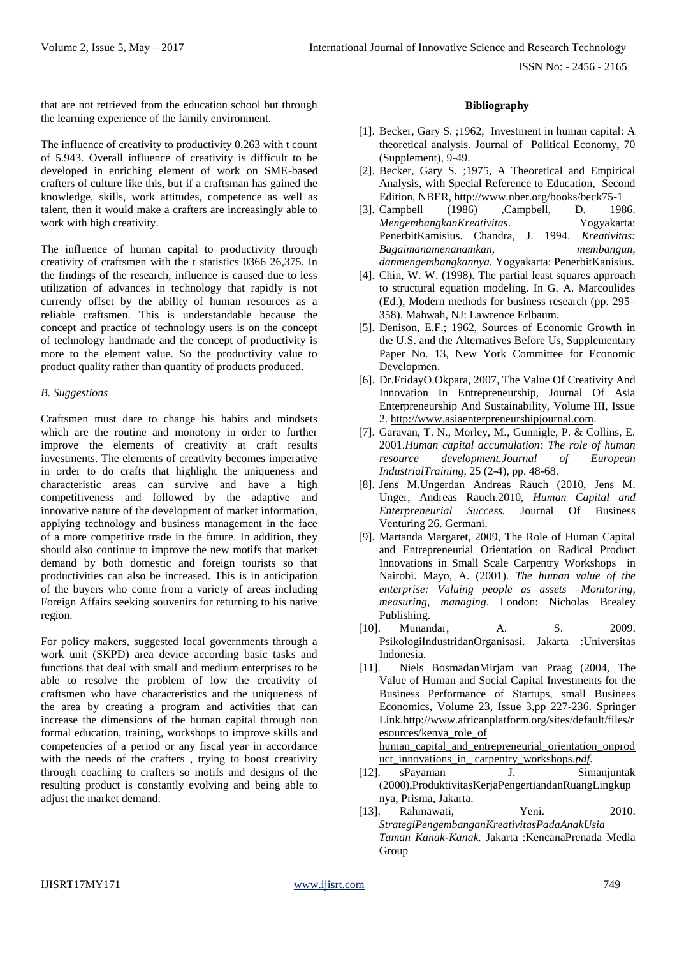ISSN No: - 2456 - 2165

that are not retrieved from the education school but through the learning experience of the family environment.

The influence of creativity to productivity 0.263 with t count of 5.943. Overall influence of creativity is difficult to be developed in enriching element of work on SME-based crafters of culture like this, but if a craftsman has gained the knowledge, skills, work attitudes, competence as well as talent, then it would make a crafters are increasingly able to work with high creativity.

The influence of human capital to productivity through creativity of craftsmen with the t statistics 0366 26,375. In the findings of the research, influence is caused due to less utilization of advances in technology that rapidly is not currently offset by the ability of human resources as a reliable craftsmen. This is understandable because the concept and practice of technology users is on the concept of technology handmade and the concept of productivity is more to the element value. So the productivity value to product quality rather than quantity of products produced.

# *B. Suggestions*

Craftsmen must dare to change his habits and mindsets which are the routine and monotony in order to further improve the elements of creativity at craft results investments. The elements of creativity becomes imperative in order to do crafts that highlight the uniqueness and characteristic areas can survive and have a high competitiveness and followed by the adaptive and innovative nature of the development of market information, applying technology and business management in the face of a more competitive trade in the future. In addition, they should also continue to improve the new motifs that market demand by both domestic and foreign tourists so that productivities can also be increased. This is in anticipation of the buyers who come from a variety of areas including Foreign Affairs seeking souvenirs for returning to his native region.

For policy makers, suggested local governments through a work unit (SKPD) area device according basic tasks and functions that deal with small and medium enterprises to be able to resolve the problem of low the creativity of craftsmen who have characteristics and the uniqueness of the area by creating a program and activities that can increase the dimensions of the human capital through non formal education, training, workshops to improve skills and competencies of a period or any fiscal year in accordance with the needs of the crafters , trying to boost creativity through coaching to crafters so motifs and designs of the resulting product is constantly evolving and being able to adjust the market demand.

# **Bibliography**

- [1]. Becker, Gary S. ;1962, Investment in human capital: A theoretical analysis. Journal of Political Economy, 70 (Supplement), 9-49.
- [2]. Becker, Gary S. ;1975, A Theoretical and Empirical Analysis, with Special Reference to Education, Second Edition, NBER,<http://www.nber.org/books/beck75-1>
- [3]. Campbell (1986) ,Campbell, D. 1986. *MengembangkanKreativitas*. Yogyakarta: PenerbitKamisius. Chandra, J. 1994. *Kreativitas: Bagaimanamenanamkan, membangun, danmengembangkannya.* Yogyakarta: PenerbitKanisius.
- [4]. Chin, W. W. (1998). The partial least squares approach to structural equation modeling. In G. A. Marcoulides (Ed.), Modern methods for business research (pp. 295– 358). Mahwah, NJ: Lawrence Erlbaum.
- [5]. Denison, E.F.; 1962, Sources of Economic Growth in the U.S. and the Alternatives Before Us, Supplementary Paper No. 13, New York Committee for Economic Developmen.
- [6]. Dr.FridayO.Okpara, 2007, The Value Of Creativity And Innovation In Entrepreneurship, Journal Of Asia Enterpreneurship And Sustainability, Volume III, Issue 2[. http://www.asiaenterpreneurshipjournal.com.](http://www.asiaenterpreneurshipjournal.com/)
- [7]. Garavan, T. N., Morley, M., Gunnigle, P. & Collins, E. 2001.*Human capital accumulation: The role of human resource development.Journal of European IndustrialTraining*, 25 (2-4), pp. 48-68.
- [8]. Jens M.Ungerdan Andreas Rauch (2010, Jens M. Unger, Andreas Rauch.2010, *Human Capital and Enterpreneurial Success.* Journal Of Business Venturing 26. Germani.
- [9]. Martanda Margaret, 2009, The Role of Human Capital and Entrepreneurial Orientation on Radical Product Innovations in Small Scale Carpentry Workshops in Nairobi. Mayo, A. (2001). *The human value of the enterprise: Valuing people as assets –Monitoring, measuring, managing*. London: Nicholas Brealey Publishing.
- [10]. Munandar, A. S. 2009. PsikologiIndustridanOrganisasi. Jakarta :Universitas Indonesia.
- [11]. Niels BosmadanMirjam van Praag (2004, The Value of Human and Social Capital Investments for the Business Performance of Startups, small Businees Economics, Volume 23, Issue 3,pp 227-236. Springer Link[.http://www.africanplatform.org/sites/default/files/r](http://www.africanplatform.org/sites/default/files/resources/kenya_role_of%20human_capital_and_entrepreneurial_orientation_onproduct_innovations_in_%20carpentry_workshops.pdf) [esources/kenya\\_role\\_of](http://www.africanplatform.org/sites/default/files/resources/kenya_role_of%20human_capital_and_entrepreneurial_orientation_onproduct_innovations_in_%20carpentry_workshops.pdf)  human capital and entrepreneurial orientation onprod
- [uct\\_innovations\\_in\\_ carpentry\\_workshops](http://www.africanplatform.org/sites/default/files/resources/kenya_role_of%20human_capital_and_entrepreneurial_orientation_onproduct_innovations_in_%20carpentry_workshops.pdf)*.pdf.* [12]. sPayaman J. Simanjuntak (2000),ProduktivitasKerjaPengertiandanRuangLingkup
- nya, Prisma, Jakarta. [13]. Rahmawati, Yeni. 2010. *StrategiPengembanganKreativitasPadaAnakUsia Taman Kanak-Kanak.* Jakarta :KencanaPrenada Media Group